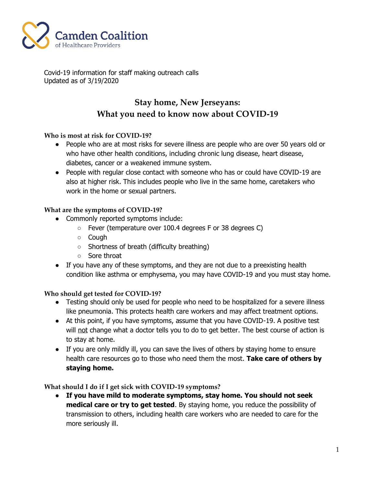

Covid-19 information for staff making outreach calls Updated as of 3/19/2020

## **Stay home, New Jerseyans: What you need to know now about COVID-19**

### **Who is most at risk for COVID-19?**

- People who are at most risks for severe illness are people who are over 50 years old or who have other health conditions, including chronic lung disease, heart disease, diabetes, cancer or a weakened immune system.
- People with regular close contact with someone who has or could have COVID-19 are also at higher risk. This includes people who live in the same home, caretakers who work in the home or sexual partners.

### **What are the symptoms of COVID-19?**

- Commonly reported symptoms include:
	- Fever (temperature over 100.4 degrees F or 38 degrees C)
	- Cough
	- Shortness of breath (difficulty breathing)
	- Sore throat
- If you have any of these symptoms, and they are not due to a preexisting health condition like asthma or emphysema, you may have COVID-19 and you must stay home.

### **Who should get tested for COVID-19?**

- Testing should only be used for people who need to be hospitalized for a severe illness like pneumonia. This protects health care workers and may affect treatment options.
- At this point, if you have symptoms, assume that you have COVID-19. A positive test will not change what a doctor tells you to do to get better. The best course of action is to stay at home.
- If you are only mildly ill, you can save the lives of others by staying home to ensure health care resources go to those who need them the most. **Take care of others by staying home.**

### **What should I do if I get sick with COVID-19 symptoms?**

● **If you have mild to moderate symptoms, stay home. You should not seek medical care or try to get tested**. By staying home, you reduce the possibility of transmission to others, including health care workers who are needed to care for the more seriously ill.